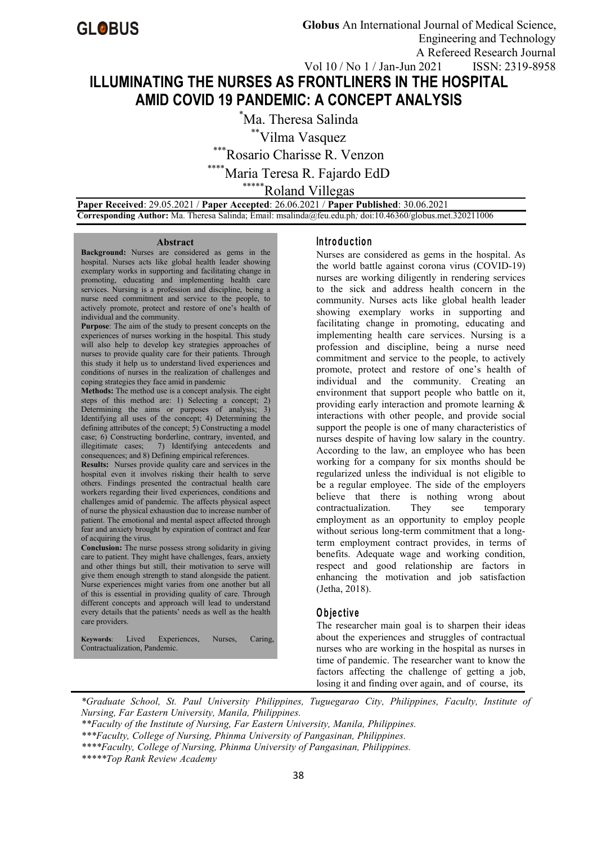# **ILLUMINATING THE NURSES AS FRONTLINERS IN THE HOSPITAL AMID COVID 19 PANDEMIC:A CONCEPT ANALYSIS**

\*Ma. Theresa Salinda \*\*Vilma Vasquez \*Rosario Charisse R. Venzon Maria Teresa R. Fajardo EdD \*\*\*\*\*Roland Villegas

**Paper Received**: 29.05.2021 / **Paper Accepted**: 26.06.2021 / **Paper Published**: 30.06.2021 **Corresponding Author:** Ma. Theresa Salinda; Email: msalinda@feu.edu.ph*;* doi:10.46360/globus.met.320211006

#### **Abstract**

**Background:** Nurses are considered as gems in the hospital. Nurses acts like global health leader showing exemplary works in supporting and facilitating change in promoting, educating and implementing health care services. Nursing is a profession and discipline, being a nurse need commitment and service to the people, to actively promote, protect and restore of one's health of individual and the community.

**Purpose:** The aim of the study to present concepts on the experiences of nurses working in the hospital. This study will also help to develop key strategies approaches of nurses to provide quality care for their patients. Through this study it help us to understand lived experiences and conditions of nurses in the realization of challenges and coping strategies they face amid in pandemic

**Methods:** The method use is a concept analysis. The eight steps of this method are: 1) Selecting a concept; 2) Determining the aims or purposes of analysis; 3)  $\begin{bmatrix} P \end{bmatrix}$ Identifying all uses of the concept; 4) Determining the defining attributes of the concept;  $5)$  Constructing a model case; 6) Constructing borderline, contrary, invented, and illegitimate cases; 7) Identifying antecedents and consequences; and 8) Defining empirical references.

**Results:** Nurses provide quality care and services in the hospital even it involves risking their health to serve others. Findings presented the contractual health care workers regarding their lived experiences, conditions and challenges amid of pandemic. The affects physical aspect of nurse the physical exhaustion due to increase number of patient. The emotional and mental aspect affected through fear and anxiety brought by expiration of contract and fear of acquiring the virus.

**Conclusion:** The nurse possess strong solidarity in giving care to patient. They might have challenges, fears, anxiety and other things but still, their motivation to serve will give them enough strength to stand alongside the patient. Nurse experiences might varies from one another but all of this is essential in providing quality of care. Through different concepts and approach will lead to understand every details that the patients' needs as well as the health care providers.

**Keywords**: Lived Experiences, Nurses, Caring, Contractualization, Pandemic.

#### **In tro d u c tio n**

Nurses are considered as gems in the hospital. As the world battle against corona virus (COVID-19) nurses are working diligently in rendering services to the sick and address health concern in the community. Nurses acts like global health leader showing exemplary works in supporting and facilitating change in promoting, educating and implementing health care services. Nursing is a profession and discipline, being a nurse need commitment and service to the people, to actively promote, protect and restore of one's health of individual and the community. Creating an environment that support people who battle on it, providing early interaction and promote learning & interactions with other people, and provide social support the people is one of many characteristics of nurses despite of having low salary in the country.<br>According to the law, an employee who has been working for a company for six months should be regularized unless the individual is not eligible to be a regular employee. The side of the employers believe that there is nothing wrong about contractualization. They see temporary employment as an opportunity to employ people without serious long-term commitment that a longterm employment contract provides, in terms of benefits. Adequate wage and working condition, respect and good relationship are factors in enhancing the motivation and job satisfaction (Jetha, 2018).

#### **O b je c tiv e**

The researcher main goal is to sharpen their ideas about the experiences and struggles of contractual nurses who are working in the hospital as nurses in time of pandemic. The researcher want to know the factors affecting the challenge of getting a job, losing it and finding over again, and of course, its

*\*Graduate School,St. Paul University Philippines, Tuguegarao City, Philippines, Faculty, Institute of Nursing, Far Eastern University, Manila, Philippines.* 

*\*\*\*\*\*Top Rank Review Academy*

*<sup>\*\*</sup>Faculty of the Institute of Nursing, Far Eastern University,Manila, Philippines.*

*<sup>\*\*\*</sup>Faculty, College of Nursing, Phinma University of Pangasinan, Philippines.*

*<sup>\*\*\*\*</sup>Faculty, College of Nursing, Phinma University of Pangasinan, Philippines.*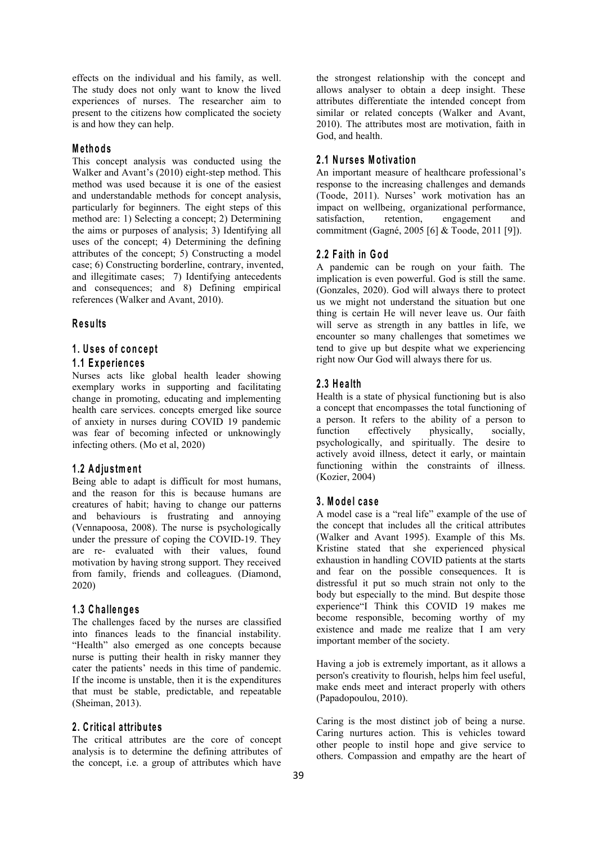effects on the individual and his family, as well. The study does not only want to know the lived experiences of nurses. The researcher aim to present to the citizens how complicated the society is and how they can help.

## **M e th o d s**

This concept analysis was conducted using the Walker and Avant's (2010) eight-step method. This method was used because it is one of the easiest and understandable methods for concept analysis, particularly for beginners. The eight steps of this method are: 1) Selecting a concept; 2) Determining satisfaction, the aims or purposes of analysis; 3) Identifying all uses of the concept; 4) Determining the defining attributes of the concept; 5) Constructing a model case; 6) Constructing borderline, contrary, invented, and illegitimate cases; 7) Identifying antecedents and consequences; and 8) Defining empirical references (Walker and Avant, 2010).

# **R e su lts**

# **1 . U s e s o f co n c ep t**

## **1 .1 E xp e rien c e s**

Nurses acts like global health leader showing exemplary works in supporting and facilitating change in promoting, educating and implementing health care services. concepts emerged like source of anxiety in nurses during COVID 19 pandemic a person<br>was fear of becoming infected or unknowingly function was fear of becoming infected or unknowingly function effectively infecting others. (Mo et al, 2020)

#### **1 .2 A d ju s tm en t**

Being able to adapt is difficult for most humans, and the reason for this is because humans are creatures of habit; having to change our patterns and behaviours is frustrating and annoying (Vennapoosa, 2008). The nurse is psychologically under the pressure of coping the COVID-19. They are re-evaluated with their values, found motivation by having strong support. They received from family, friends and colleagues. (Diamond, 2020)

## **1 .3 C h a llen g e s**

The challenges faced by the nurses are classified into finances leads to the financial instability. "Health" also emerged as one concepts because nurse is putting their health in risky manner they cater the patients' needs in this time of pandemic. If the income is unstable, then it is the expenditures that must be stable, predictable, and repeatable (Sheiman, 2013).

#### **2 . C ritic a l a ttrib u te s**

The critical attributes are the core of concept analysis is to determine the defining attributes of the concept, i.e. a group of attributes which have

the strongest relationship with the concept and allows analyser to obtain a deep insight. These attributes differentiate the intended concept from similar or related concepts (Walker and Avant, 2010). The attributes most are motivation, faith in God, and health.

## **2 .1 N u rs e s M o tiv a tio n**

An important measure of healthcare professional's response to the increasing challenges and demands (Toode, 2011). Nurses' work motivation has an impact on wellbeing, organizational performance, retention, engagement and commitment (Gagné, 2005 [6] & Toode, 2011 [9]).

## **2 .2 F a ith in Go d**

A pandemic can be rough on your faith. The implication is even powerful. God is still the same. (Gonzales, 2020). God will always there to protect us we might not understand the situation but one thing is certain He will never leave us. Our faith will serve as strength in any battles in life, we encounter so many challenges that sometimes we tend to give up but despite what we experiencing right now Our God will always there for us.

#### **2 .3 H e a lth**

Health is a state of physical functioning but is also a concept that encompasses the total functioning of a person. It refers to the ability of a person to physically, socially, psychologically, and spiritually. The desire to actively avoid illness, detect it early, or maintain functioning within the constraints of illness. (Kozier, 2004)

#### **3 . M o d e l ca s e**

A model case is a "real life" example of the use of the concept that includes all the critical attributes (Walker and Avant 1995). Example of this Ms. Kristine stated that she experienced physical exhaustion in handling COVID patients at the starts and fear on the possible consequences. It is distressful it put so much strain not only to the body but especially to the mind. But despite those experience"I Think this COVID 19 makes me become responsible, becoming worthy of my existence and made me realize that I am very important member of the society.

Having a job is extremely important, as it allows a person's creativity to flourish, helps him feel useful, make ends meet and interact properly with others (Papadopoulou, 2010).

Caring is the most distinct job of being a nurse. Caring nurtures action. This is vehicles toward other people to instil hope and give service to others. Compassion and empathy are the heart of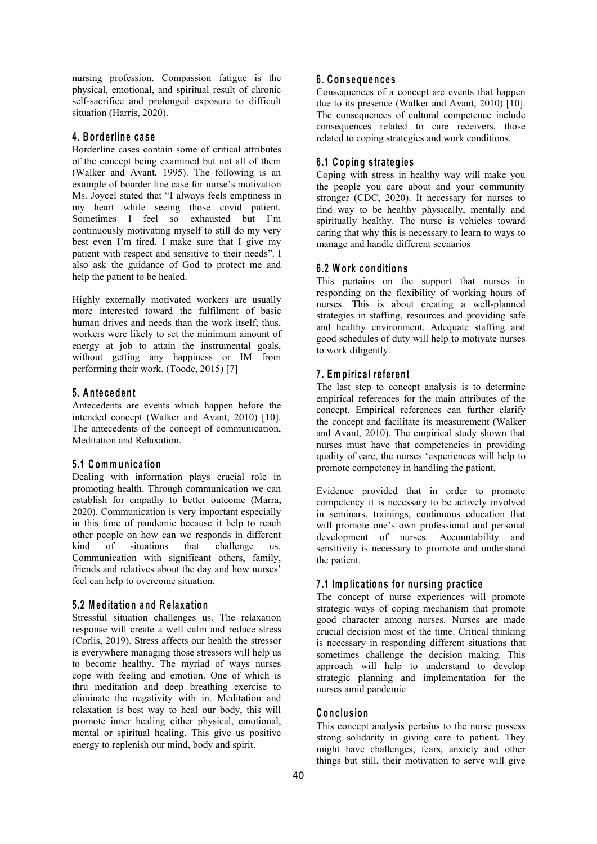nursing profession. Compassion fatigue is the physical, emotional, and spiritual result of chronic self-sacrifice and prolonged exposure to difficult situation (Harris, 2020).

## **4 . B o rd e rlin e c a s e**

Borderline cases contain some of critical attributes of the concept being examined but not all of them (Walker and Avant, 1995). The following is an example of boarder line case for nurse's motivation Ms. Joycel stated that "I always feels emptiness in my heart while seeing those covid patient. Sometimes I feel so exhausted but I'm continuously motivating myself to still do my very best even I'm tired. I make sure that I give my patient with respect and sensitive to their needs". I also ask the guidance of God to protect me and help the patient to be healed.

Highly externally motivated workers are usually more interested toward the fulfilment of basic human drives and needs than the work itself; thus, workers were likely to set the minimum amount of energy at job to attain the instrumental goals, without getting any happiness or IM from performing their work.(Toode, 2015) [7]

## **5 . A n te c ed en t**

Antecedents are events which happen before the intended concept (Walker and Avant, 2010) [10]. The antecedents of the concept of communication, Meditation and Relaxation.

#### **5 .1 C om m u n ic a tio n**

promoting health. Through communication we can establish for empathy to better outcome (Marra,  $2020$ ). Communication is very important especially in this time of pandemic because it help to reach other people on how can we responds in different kind of situations that challenge us. Communication with significant others, family, friends and relatives about the day and how nurses' feel can help to overcome situation.

#### **5 .2 M ed ita tio n an d R e la x a tio n**

Stressful situation challenges us. The relaxation response will create a well calm and reduce stress (Corlis, 2019). Stress affects our health the stressor is everywhere managing those stressors will help us to become healthy. The myriad of ways nurses cope with feeling and emotion. One of which is thru meditation and deep breathing exercise to eliminate the negativity with in. Meditation and relaxation is bestway to heal our body, this will promote inner healing either physical, emotional, mental or spiritual healing. This give us positive energy to replenish our mind, body and spirit.

# **6 . C o n s eq u en c e s**

Consequences of a concept are events that happen due to its presence (Walker and Avant, 2010) [10]. The consequences of cultural competence include consequences related to care receivers, those related to coping strategies and work conditions.

## **6 .1 C o p in g stra teg ie s**

Coping with stress in healthy way will make you the people you care about and your community stronger (CDC, 2020). It necessary for nurses to find way to be healthy physically, mentally and spiritually healthy. The nurse is vehicles toward caring that why this is necessary to learn to ways to manage and handle different scenarios

#### **6 .2 W o rk co n d itio n s**

This pertains on the support that nurses in responding on the flexibility of working hours of nurses. This is about creating a well-planned strategies in staffing, resources and providing safe and healthy environment. Adequate staffing and good schedules of duty will help to motivate nurses to work diligently.

## **7 . Em p iric a l re fe ren t**

5.1 Communication<br>Dealing with information plays crucial role in promote competency in handling the patient. The last step to concept analysis is to determine empirical references for the main attributes of the concept. Empirical references can further clarify the concept and facilitate its measurement (Walker and Avant, 2010). The empirical study shown that nurses must have that competencies in providing quality of care, the nurses 'experiences will help to

> Evidence provided that in order to promote competency it is necessary to be actively involved in seminars, trainings, continuous education that will promote one's own professional and personal development of nurses. Accountability and sensitivity is necessary to promote and understand the patient.

## **7 .1 Im p lic a tio n s fo r n u rs in g p ra c tic e**

The concept of nurse experiences will promote strategic ways of coping mechanism that promote good character among nurses. Nurses are made crucial decision most of the time. Critical thinking is necessary in responding different situations that sometimes challenge the decision making. This approach will help to understand to develop strategic planning and implementation for the nurses amid pandemic

#### $C$  **onclusion**

This concept analysis pertains to the nurse possess strong solidarity in giving care to patient. They might have challenges, fears, anxiety and other things but still, their motivation to serve will give